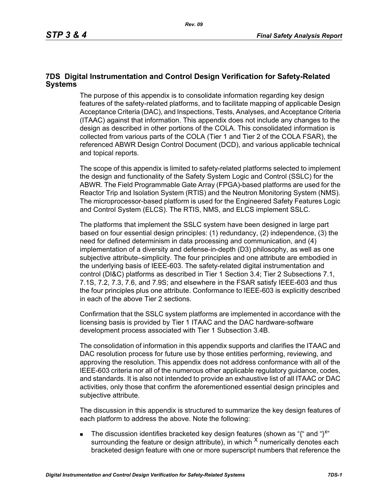## **7DS Digital Instrumentation and Control Design Verification for Safety-Related Systems**

The purpose of this appendix is to consolidate information regarding key design features of the safety-related platforms, and to facilitate mapping of applicable Design Acceptance Criteria (DAC), and Inspections, Tests, Analyses, and Acceptance Criteria (ITAAC) against that information. This appendix does not include any changes to the design as described in other portions of the COLA. This consolidated information is collected from various parts of the COLA (Tier 1 and Tier 2 of the COLA FSAR), the referenced ABWR Design Control Document (DCD), and various applicable technical and topical reports.

The scope of this appendix is limited to safety-related platforms selected to implement the design and functionality of the Safety System Logic and Control (SSLC) for the ABWR. The Field Programmable Gate Array (FPGA)-based platforms are used for the Reactor Trip and Isolation System (RTIS) and the Neutron Monitoring System (NMS). The microprocessor-based platform is used for the Engineered Safety Features Logic and Control System (ELCS). The RTIS, NMS, and ELCS implement SSLC.

The platforms that implement the SSLC system have been designed in large part based on four essential design principles: (1) redundancy, (2) independence, (3) the need for defined determinism in data processing and communication, and (4) implementation of a diversity and defense-in-depth (D3) philosophy, as well as one subjective attribute–simplicity. The four principles and one attribute are embodied in the underlying basis of IEEE-603. The safety-related digital instrumentation and control (DI&C) platforms as described in Tier 1 Section 3.4; Tier 2 Subsections 7.1, 7.1S, 7.2, 7.3, 7.6, and 7.9S; and elsewhere in the FSAR satisfy IEEE-603 and thus the four principles plus one attribute. Conformance to IEEE-603 is explicitly described in each of the above Tier 2 sections.

Confirmation that the SSLC system platforms are implemented in accordance with the licensing basis is provided by Tier 1 ITAAC and the DAC hardware-software development process associated with Tier 1 Subsection 3.4B.

The consolidation of information in this appendix supports and clarifies the ITAAC and DAC resolution process for future use by those entities performing, reviewing, and approving the resolution. This appendix does not address conformance with all of the IEEE-603 criteria nor all of the numerous other applicable regulatory guidance, codes, and standards. It is also not intended to provide an exhaustive list of all ITAAC or DAC activities, only those that confirm the aforementioned essential design principles and subjective attribute.

The discussion in this appendix is structured to summarize the key design features of each platform to address the above. Note the following:

The discussion identifies bracketed key design features (shown as "{" and "}<sup>x"</sup> surrounding the feature or design attribute), in which  $^{\chi}$  numerically denotes each bracketed design feature with one or more superscript numbers that reference the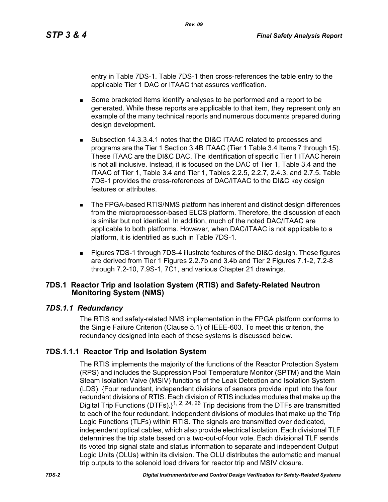entry in Table 7DS-1. Table 7DS-1 then cross-references the table entry to the applicable Tier 1 DAC or ITAAC that assures verification.

- Some bracketed items identify analyses to be performed and a report to be generated. While these reports are applicable to that item, they represent only an example of the many technical reports and numerous documents prepared during design development.
- Subsection 14.3.3.4.1 notes that the DI&C ITAAC related to processes and programs are the Tier 1 Section 3.4B ITAAC (Tier 1 Table 3.4 Items 7 through 15). These ITAAC are the DI&C DAC. The identification of specific Tier 1 ITAAC herein is not all inclusive. Instead, it is focused on the DAC of Tier 1, Table 3.4 and the ITAAC of Tier 1, Table 3.4 and Tier 1, Tables 2.2.5, 2.2.7, 2.4.3, and 2.7.5. Table 7DS-1 provides the cross-references of DAC/ITAAC to the DI&C key design features or attributes.
- The FPGA-based RTIS/NMS platform has inherent and distinct design differences from the microprocessor-based ELCS platform. Therefore, the discussion of each is similar but not identical. In addition, much of the noted DAC/ITAAC are applicable to both platforms. However, when DAC/ITAAC is not applicable to a platform, it is identified as such in Table 7DS-1.
- Figures 7DS-1 through 7DS-4 illustrate features of the DI&C design. These figures are derived from Tier 1 Figures 2.2.7b and 3.4b and Tier 2 Figures 7.1-2, 7.2-8 through 7.2-10, 7.9S-1, 7C1, and various Chapter 21 drawings.

## **7DS.1 Reactor Trip and Isolation System (RTIS) and Safety-Related Neutron Monitoring System (NMS)**

### *7DS.1.1 Redundancy*

The RTIS and safety-related NMS implementation in the FPGA platform conforms to the Single Failure Criterion (Clause 5.1) of IEEE-603. To meet this criterion, the redundancy designed into each of these systems is discussed below.

# **7DS.1.1.1 Reactor Trip and Isolation System**

The RTIS implements the majority of the functions of the Reactor Protection System (RPS) and includes the Suppression Pool Temperature Monitor (SPTM) and the Main Steam Isolation Valve (MSIV) functions of the Leak Detection and Isolation System (LDS). {Four redundant, independent divisions of sensors provide input into the four redundant divisions of RTIS. Each division of RTIS includes modules that make up the Digital Trip Functions (DTFs).}<sup>1, 2, 24, 26</sup> Trip decisions from the DTFs are transmitted to each of the four redundant, independent divisions of modules that make up the Trip Logic Functions (TLFs) within RTIS. The signals are transmitted over dedicated, independent optical cables, which also provide electrical isolation. Each divisional TLF determines the trip state based on a two-out-of-four vote. Each divisional TLF sends its voted trip signal state and status information to separate and independent Output Logic Units (OLUs) within its division. The OLU distributes the automatic and manual trip outputs to the solenoid load drivers for reactor trip and MSIV closure.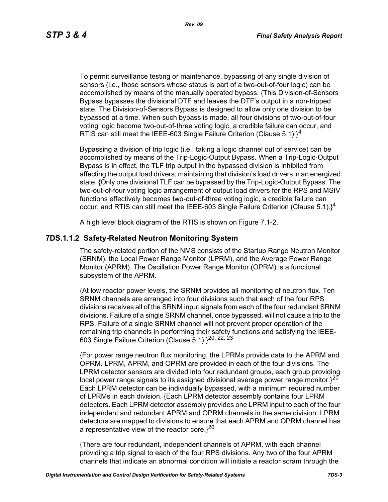*Rev. 09*

To permit surveillance testing or maintenance, bypassing of any single division of sensors (i.e., those sensors whose status is part of a two-out-of-four logic) can be accomplished by means of the manually operated bypass. {This Division-of-Sensors Bypass bypasses the divisional DTF and leaves the DTF's output in a non-tripped state. The Division-of-Sensors Bypass is designed to allow only one division to be bypassed at a time. When such bypass is made, all four divisions of two-out-of-four voting logic become two-out-of-three voting logic, a credible failure can occur, and RTIS can still meet the IEEE-603 Single Failure Criterion (Clause  $5.1$ ).<sup>14</sup>

Bypassing a division of trip logic (i.e., taking a logic channel out of service) can be accomplished by means of the Trip-Logic-Output Bypass. When a Trip-Logic-Output Bypass is in effect, the TLF trip output in the bypassed division is inhibited from affecting the output load drivers, maintaining that division's load drivers in an energized state. {Only one divisional TLF can be bypassed by the Trip-Logic-Output Bypass. The two-out-of-four voting logic arrangement of output load drivers for the RPS and MSIV functions effectively becomes two-out-of-three voting logic, a credible failure can occur, and RTIS can still meet the IEEE-603 Single Failure Criterion (Clause 5.1). $1^4$ 

A high level block diagram of the RTIS is shown on Figure 7.1-2.

# **7DS.1.1.2 Safety-Related Neutron Monitoring System**

The safety-related portion of the NMS consists of the Startup Range Neutron Monitor (SRNM), the Local Power Range Monitor (LPRM), and the Average Power Range Monitor (APRM). The Oscillation Power Range Monitor (OPRM) is a functional subsystem of the APRM.

{At low reactor power levels, the SRNM provides all monitoring of neutron flux. Ten SRNM channels are arranged into four divisions such that each of the four RPS divisions receives all of the SRNM input signals from each of the four redundant SRNM divisions. Failure of a single SRNM channel, once bypassed, will not cause a trip to the RPS. Failure of a single SRNM channel will not prevent proper operation of the remaining trip channels in performing their safety functions and satisfying the IEEE-603 Single Failure Criterion (Clause 5.1).}20, 22, 23

{For power range neutron flux monitoring, the LPRMs provide data to the APRM and OPRM. LPRM, APRM, and OPRM are provided in each of the four divisions. The LPRM detector sensors are divided into four redundant groups, each group providing local power range signals to its assigned divisional average power range monitor. $3^{20}$ Each LPRM detector can be individually bypassed, with a minimum required number of LPRMs in each division. {Each LPRM detector assembly contains four LPRM detectors. Each LPRM detector assembly provides one LPRM input to each of the four independent and redundant APRM and OPRM channels in the same division. LPRM detectors are mapped to divisions to ensure that each APRM and OPRM channel has a representative view of the reactor core. $3^{20}$ 

{There are four redundant, independent channels of APRM, with each channel providing a trip signal to each of the four RPS divisions. Any two of the four APRM channels that indicate an abnormal condition will initiate a reactor scram through the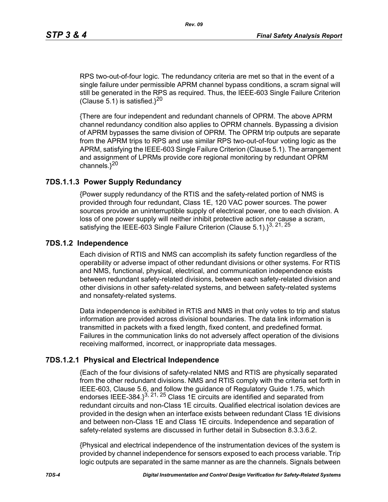RPS two-out-of-four logic. The redundancy criteria are met so that in the event of a single failure under permissible APRM channel bypass conditions, a scram signal will still be generated in the RPS as required. Thus, the IEEE-603 Single Failure Criterion (Clause 5.1) is satisfied. $3^{20}$ 

{There are four independent and redundant channels of OPRM. The above APRM channel redundancy condition also applies to OPRM channels. Bypassing a division of APRM bypasses the same division of OPRM. The OPRM trip outputs are separate from the APRM trips to RPS and use similar RPS two-out-of-four voting logic as the APRM, satisfying the IEEE-603 Single Failure Criterion (Clause 5.1). The arrangement and assignment of LPRMs provide core regional monitoring by redundant OPRM channels. $3^{20}$ 

### **7DS.1.1.3 Power Supply Redundancy**

{Power supply redundancy of the RTIS and the safety-related portion of NMS is provided through four redundant, Class 1E, 120 VAC power sources. The power sources provide an uninterruptible supply of electrical power, one to each division. A loss of one power supply will neither inhibit protective action nor cause a scram, satisfying the IEEE-603 Single Failure Criterion (Clause 5.1). $3^{3, 21, 25}$ 

#### **7DS.1.2 Independence**

Each division of RTIS and NMS can accomplish its safety function regardless of the operability or adverse impact of other redundant divisions or other systems. For RTIS and NMS, functional, physical, electrical, and communication independence exists between redundant safety-related divisions, between each safety-related division and other divisions in other safety-related systems, and between safety-related systems and nonsafety-related systems.

Data independence is exhibited in RTIS and NMS in that only votes to trip and status information are provided across divisional boundaries. The data link information is transmitted in packets with a fixed length, fixed content, and predefined format. Failures in the communication links do not adversely affect operation of the divisions receiving malformed, incorrect, or inappropriate data messages.

### **7DS.1.2.1 Physical and Electrical Independence**

{Each of the four divisions of safety-related NMS and RTIS are physically separated from the other redundant divisions. NMS and RTIS comply with the criteria set forth in IEEE-603, Clause 5.6, and follow the guidance of Regulatory Guide 1.75, which endorses IEEE-384. $3^{3, 21, 25}$  Class 1E circuits are identified and separated from redundant circuits and non-Class 1E circuits. Qualified electrical isolation devices are provided in the design when an interface exists between redundant Class 1E divisions and between non-Class 1E and Class 1E circuits. Independence and separation of safety-related systems are discussed in further detail in Subsection 8.3.3.6.2.

{Physical and electrical independence of the instrumentation devices of the system is provided by channel independence for sensors exposed to each process variable. Trip logic outputs are separated in the same manner as are the channels. Signals between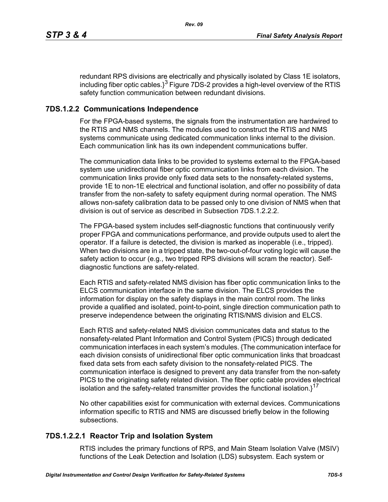redundant RPS divisions are electrically and physically isolated by Class 1E isolators, including fiber optic cables. $3^3$  Figure 7DS-2 provides a high-level overview of the RTIS safety function communication between redundant divisions.

# **7DS.1.2.2 Communications Independence**

For the FPGA-based systems, the signals from the instrumentation are hardwired to the RTIS and NMS channels. The modules used to construct the RTIS and NMS systems communicate using dedicated communication links internal to the division. Each communication link has its own independent communications buffer.

The communication data links to be provided to systems external to the FPGA-based system use unidirectional fiber optic communication links from each division. The communication links provide only fixed data sets to the nonsafety-related systems, provide 1E to non-1E electrical and functional isolation, and offer no possibility of data transfer from the non-safety to safety equipment during normal operation. The NMS allows non-safety calibration data to be passed only to one division of NMS when that division is out of service as described in Subsection 7DS 1.2.2.2.

The FPGA-based system includes self-diagnostic functions that continuously verify proper FPGA and communications performance, and provide outputs used to alert the operator. If a failure is detected, the division is marked as inoperable (i.e., tripped). When two divisions are in a tripped state, the two-out-of-four voting logic will cause the safety action to occur (e.g., two tripped RPS divisions will scram the reactor). Selfdiagnostic functions are safety-related.

Each RTIS and safety-related NMS division has fiber optic communication links to the ELCS communication interface in the same division. The ELCS provides the information for display on the safety displays in the main control room. The links provide a qualified and isolated, point-to-point, single direction communication path to preserve independence between the originating RTIS/NMS division and ELCS.

Each RTIS and safety-related NMS division communicates data and status to the nonsafety-related Plant Information and Control System (PICS) through dedicated communication interfaces in each system's modules. {The communication interface for each division consists of unidirectional fiber optic communication links that broadcast fixed data sets from each safety division to the nonsafety-related PICS. The communication interface is designed to prevent any data transfer from the non-safety PICS to the originating safety related division. The fiber optic cable provides electrical isolation and the safety-related transmitter provides the functional isolation. $1^{17}$ 

No other capabilities exist for communication with external devices. Communications information specific to RTIS and NMS are discussed briefly below in the following subsections.

# **7DS.1.2.2.1 Reactor Trip and Isolation System**

RTIS includes the primary functions of RPS, and Main Steam Isolation Valve (MSIV) functions of the Leak Detection and Isolation (LDS) subsystem. Each system or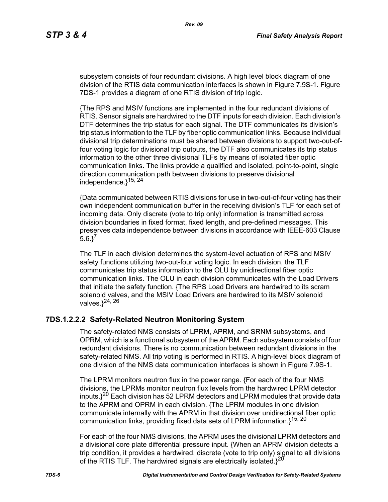subsystem consists of four redundant divisions. A high level block diagram of one division of the RTIS data communication interfaces is shown in Figure 7.9S-1. Figure 7DS-1 provides a diagram of one RTIS division of trip logic.

{The RPS and MSIV functions are implemented in the four redundant divisions of RTIS. Sensor signals are hardwired to the DTF inputs for each division. Each division's DTF determines the trip status for each signal. The DTF communicates its division's trip status information to the TLF by fiber optic communication links. Because individual divisional trip determinations must be shared between divisions to support two-out-offour voting logic for divisional trip outputs, the DTF also communicates its trip status information to the other three divisional TLFs by means of isolated fiber optic communication links. The links provide a qualified and isolated, point-to-point, single direction communication path between divisions to preserve divisional independence. $3^{15, 24}$ 

{Data communicated between RTIS divisions for use in two-out-of-four voting has their own independent communication buffer in the receiving division's TLF for each set of incoming data. Only discrete (vote to trip only) information is transmitted across division boundaries in fixed format, fixed length, and pre-defined messages. This preserves data independence between divisions in accordance with IEEE-603 Clause  $5.6.$ <sup>7</sup>

The TLF in each division determines the system-level actuation of RPS and MSIV safety functions utilizing two-out-four voting logic. In each division, the TLF communicates trip status information to the OLU by unidirectional fiber optic communication links. The OLU in each division communicates with the Load Drivers that initiate the safety function. {The RPS Load Drivers are hardwired to its scram solenoid valves, and the MSIV Load Drivers are hardwired to its MSIV solenoid valves. $3^{24, 26}$ 

# **7DS.1.2.2.2 Safety-Related Neutron Monitoring System**

The safety-related NMS consists of LPRM, APRM, and SRNM subsystems, and OPRM, which is a functional subsystem of the APRM. Each subsystem consists of four redundant divisions. There is no communication between redundant divisions in the safety-related NMS. All trip voting is performed in RTIS. A high-level block diagram of one division of the NMS data communication interfaces is shown in Figure 7.9S-1.

The LPRM monitors neutron flux in the power range. {For each of the four NMS divisions, the LPRMs monitor neutron flux levels from the hardwired LPRM detector inputs. $3^{20}$  Each division has 52 LPRM detectors and LPRM modules that provide data to the APRM and OPRM in each division. {The LPRM modules in one division communicate internally with the APRM in that division over unidirectional fiber optic communication links, providing fixed data sets of LPRM information.}<sup>15, 20</sup>

For each of the four NMS divisions, the APRM uses the divisional LPRM detectors and a divisional core plate differential pressure input. {When an APRM division detects a trip condition, it provides a hardwired, discrete (vote to trip only) signal to all divisions of the RTIS TLF. The hardwired signals are electrically isolated. $3^{20}$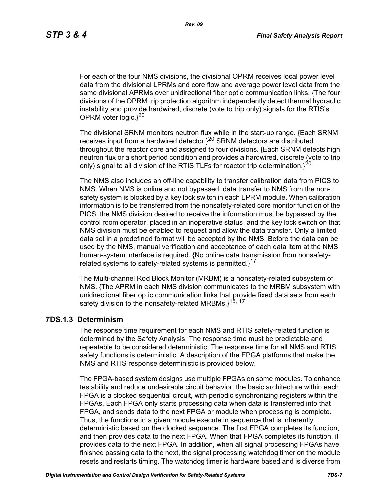For each of the four NMS divisions, the divisional OPRM receives local power level data from the divisional LPRMs and core flow and average power level data from the same divisional APRMs over unidirectional fiber optic communication links. {The four divisions of the OPRM trip protection algorithm independently detect thermal hydraulic instability and provide hardwired, discrete (vote to trip only) signals for the RTIS's OPRM voter logic. $3^{20}$ 

The divisional SRNM monitors neutron flux while in the start-up range. {Each SRNM receives input from a hardwired detector.}20 SRNM detectors are distributed throughout the reactor core and assigned to four divisions. {Each SRNM detects high neutron flux or a short period condition and provides a hardwired, discrete (vote to trip only) signal to all division of the RTIS TLFs for reactor trip determination. $3^{20}$ 

The NMS also includes an off-line capability to transfer calibration data from PICS to NMS. When NMS is online and not bypassed, data transfer to NMS from the nonsafety system is blocked by a key lock switch in each LPRM module. When calibration information is to be transferred from the nonsafety-related core monitor function of the PICS, the NMS division desired to receive the information must be bypassed by the control room operator, placed in an inoperative status, and the key lock switch on that NMS division must be enabled to request and allow the data transfer. Only a limited data set in a predefined format will be accepted by the NMS. Before the data can be used by the NMS, manual verification and acceptance of each data item at the NMS human-system interface is required. {No online data transmission from nonsafetyrelated systems to safety-related systems is permitted. $1^{17}$ 

The Multi-channel Rod Block Monitor (MRBM) is a nonsafety-related subsystem of NMS. {The APRM in each NMS division communicates to the MRBM subsystem with unidirectional fiber optic communication links that provide fixed data sets from each safety division to the nonsafety-related MRBMs.}<sup>15, 17</sup>

### **7DS.1.3 Determinism**

The response time requirement for each NMS and RTIS safety-related function is determined by the Safety Analysis. The response time must be predictable and repeatable to be considered deterministic. The response time for all NMS and RTIS safety functions is deterministic. A description of the FPGA platforms that make the NMS and RTIS response deterministic is provided below.

The FPGA-based system designs use multiple FPGAs on some modules. To enhance testability and reduce undesirable circuit behavior, the basic architecture within each FPGA is a clocked sequential circuit, with periodic synchronizing registers within the FPGAs. Each FPGA only starts processing data when data is transferred into that FPGA, and sends data to the next FPGA or module when processing is complete. Thus, the functions in a given module execute in sequence that is inherently deterministic based on the clocked sequence. The first FPGA completes its function, and then provides data to the next FPGA. When that FPGA completes its function, it provides data to the next FPGA. In addition, when all signal processing FPGAs have finished passing data to the next, the signal processing watchdog timer on the module resets and restarts timing. The watchdog timer is hardware based and is diverse from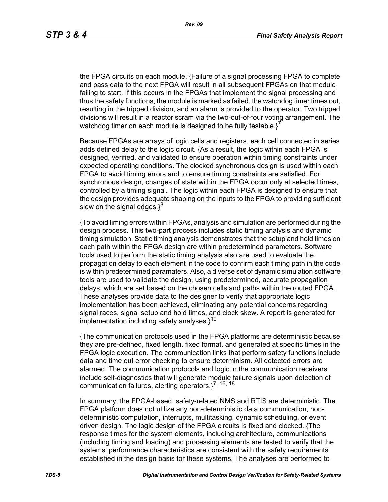the FPGA circuits on each module. {Failure of a signal processing FPGA to complete and pass data to the next FPGA will result in all subsequent FPGAs on that module failing to start. If this occurs in the FPGAs that implement the signal processing and thus the safety functions, the module is marked as failed, the watchdog timer times out, resulting in the tripped division, and an alarm is provided to the operator. Two tripped divisions will result in a reactor scram via the two-out-of-four voting arrangement. The watchdog timer on each module is designed to be fully testable. $i^7$ 

Because FPGAs are arrays of logic cells and registers, each cell connected in series adds defined delay to the logic circuit. {As a result, the logic within each FPGA is designed, verified, and validated to ensure operation within timing constraints under expected operating conditions. The clocked synchronous design is used within each FPGA to avoid timing errors and to ensure timing constraints are satisfied. For synchronous design, changes of state within the FPGA occur only at selected times, controlled by a timing signal. The logic within each FPGA is designed to ensure that the design provides adequate shaping on the inputs to the FPGA to providing sufficient slew on the signal edges. $3^8$ 

{To avoid timing errors within FPGAs, analysis and simulation are performed during the design process. This two-part process includes static timing analysis and dynamic timing simulation. Static timing analysis demonstrates that the setup and hold times on each path within the FPGA design are within predetermined parameters. Software tools used to perform the static timing analysis also are used to evaluate the propagation delay to each element in the code to confirm each timing path in the code is within predetermined paramaters. Also, a diverse set of dynamic simulation software tools are used to validate the design, using predetermined, accurate propagation delays, which are set based on the chosen cells and paths within the routed FPGA. These analyses provide data to the designer to verify that appropriate logic implementation has been achieved, eliminating any potential concerns regarding signal races, signal setup and hold times, and clock skew. A report is generated for implementation including safety analyses. $1^{10}$ 

{The communication protocols used in the FPGA platforms are deterministic because they are pre-defined, fixed length, fixed format, and generated at specific times in the FPGA logic execution. The communication links that perform safety functions include data and time out error checking to ensure determinism. All detected errors are alarmed. The communication protocols and logic in the communication receivers include self-diagnostics that will generate module failure signals upon detection of communication failures, alerting operators. $3^{7, 16, 18}$ 

In summary, the FPGA-based, safety-related NMS and RTIS are deterministic. The FPGA platform does not utilize any non-deterministic data communication, nondeterministic computation, interrupts, multitasking, dynamic scheduling, or event driven design. The logic design of the FPGA circuits is fixed and clocked. {The response times for the system elements, including architecture, communications (including timing and loading) and processing elements are tested to verify that the systems' performance characteristics are consistent with the safety requirements established in the design basis for these systems. The analyses are performed to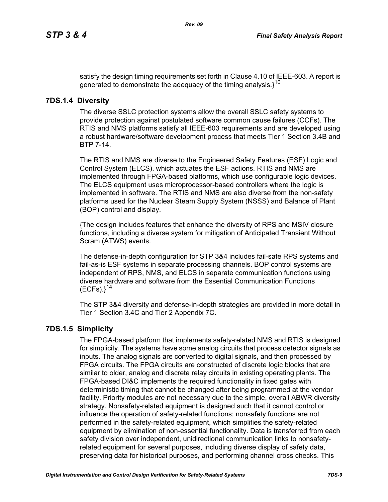satisfy the design timing requirements set forth in Clause 4.10 of IEEE-603. A report is generated to demonstrate the adequacy of the timing analysis. $3^{10}$ 

## **7DS.1.4 Diversity**

The diverse SSLC protection systems allow the overall SSLC safety systems to provide protection against postulated software common cause failures (CCFs). The RTIS and NMS platforms satisfy all IEEE-603 requirements and are developed using a robust hardware/software development process that meets Tier 1 Section 3.4B and BTP 7-14.

The RTIS and NMS are diverse to the Engineered Safety Features (ESF) Logic and Control System (ELCS), which actuates the ESF actions. RTIS and NMS are implemented through FPGA-based platforms, which use configurable logic devices. The ELCS equipment uses microprocessor-based controllers where the logic is implemented in software. The RTIS and NMS are also diverse from the non-safety platforms used for the Nuclear Steam Supply System (NSSS) and Balance of Plant (BOP) control and display.

{The design includes features that enhance the diversity of RPS and MSIV closure functions, including a diverse system for mitigation of Anticipated Transient Without Scram (ATWS) events.

The defense-in-depth configuration for STP 3&4 includes fail-safe RPS systems and fail-as-is ESF systems in separate processing channels. BOP control systems are independent of RPS, NMS, and ELCS in separate communication functions using diverse hardware and software from the Essential Communication Functions  $(ECFs).$ <sup>14</sup>

The STP 3&4 diversity and defense-in-depth strategies are provided in more detail in Tier 1 Section 3.4C and Tier 2 Appendix 7C.

# **7DS.1.5 Simplicity**

The FPGA-based platform that implements safety-related NMS and RTIS is designed for simplicity. The systems have some analog circuits that process detector signals as inputs. The analog signals are converted to digital signals, and then processed by FPGA circuits. The FPGA circuits are constructed of discrete logic blocks that are similar to older, analog and discrete relay circuits in existing operating plants. The FPGA-based DI&C implements the required functionality in fixed gates with deterministic timing that cannot be changed after being programmed at the vendor facility. Priority modules are not necessary due to the simple, overall ABWR diversity strategy. Nonsafety-related equipment is designed such that it cannot control or influence the operation of safety-related functions; nonsafety functions are not performed in the safety-related equipment, which simplifies the safety-related equipment by elimination of non-essential functionality. Data is transferred from each safety division over independent, unidirectional communication links to nonsafetyrelated equipment for several purposes, including diverse display of safety data, preserving data for historical purposes, and performing channel cross checks. This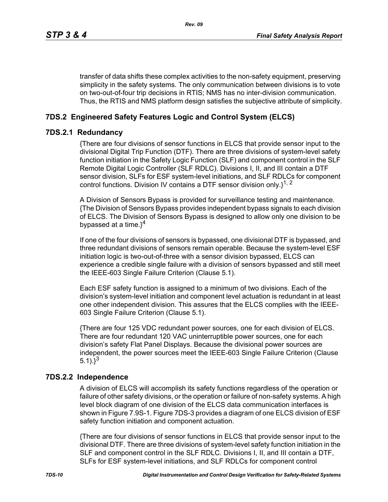transfer of data shifts these complex activities to the non-safety equipment, preserving simplicity in the safety systems. The only communication between divisions is to vote on two-out-of-four trip decisions in RTIS; NMS has no inter-division communication. Thus, the RTIS and NMS platform design satisfies the subjective attribute of simplicity.

# **7DS.2 Engineered Safety Features Logic and Control System (ELCS)**

## **7DS.2.1 Redundancy**

{There are four divisions of sensor functions in ELCS that provide sensor input to the divisional Digital Trip Function (DTF). There are three divisions of system-level safety function initiation in the Safety Logic Function (SLF) and component control in the SLF Remote Digital Logic Controller (SLF RDLC). Divisions I, II, and III contain a DTF sensor division, SLFs for ESF system-level initiations, and SLF RDLCs for component control functions. Division IV contains a DTF sensor division only. $1^{1, 2}$ 

A Division of Sensors Bypass is provided for surveillance testing and maintenance. {The Division of Sensors Bypass provides independent bypass signals to each division of ELCS. The Division of Sensors Bypass is designed to allow only one division to be bypassed at a time. $3^4$ 

If one of the four divisions of sensors is bypassed, one divisional DTF is bypassed, and three redundant divisions of sensors remain operable. Because the system-level ESF initiation logic is two-out-of-three with a sensor division bypassed, ELCS can experience a credible single failure with a division of sensors bypassed and still meet the IEEE-603 Single Failure Criterion (Clause 5.1).

Each ESF safety function is assigned to a minimum of two divisions. Each of the division's system-level initiation and component level actuation is redundant in at least one other independent division. This assures that the ELCS complies with the IEEE-603 Single Failure Criterion (Clause 5.1).

{There are four 125 VDC redundant power sources, one for each division of ELCS. There are four redundant 120 VAC uninterruptible power sources, one for each division's safety Flat Panel Displays. Because the divisional power sources are independent, the power sources meet the IEEE-603 Single Failure Criterion (Clause 5.1). $3^{3}$ 

# **7DS.2.2 Independence**

A division of ELCS will accomplish its safety functions regardless of the operation or failure of other safety divisions, or the operation or failure of non-safety systems. A high level block diagram of one division of the ELCS data communication interfaces is shown in Figure 7.9S-1. Figure 7DS-3 provides a diagram of one ELCS division of ESF safety function initiation and component actuation.

{There are four divisions of sensor functions in ELCS that provide sensor input to the divisional DTF. There are three divisions of system-level safety function initiation in the SLF and component control in the SLF RDLC. Divisions I, II, and III contain a DTF, SLFs for ESF system-level initiations, and SLF RDLCs for component control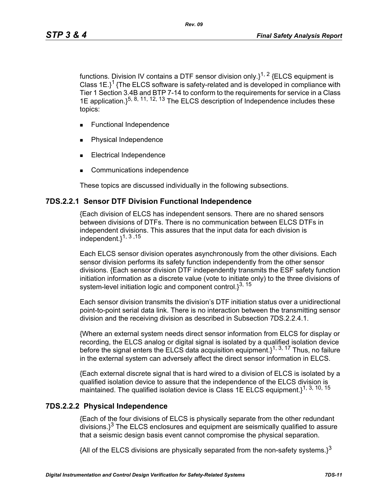functions. Division IV contains a DTF sensor division only. $1^{1, 2}$  {ELCS equipment is Class  $1E$ <sup>1</sup> {The ELCS software is safety-related and is developed in compliance with Tier 1 Section 3.4B and BTP 7-14 to conform to the requirements for service in a Class 1E application.  $\xi^{5, 8, 11, 12, 13}$  The ELCS description of Independence includes these topics:

- **Functional Independence**
- Physical Independence
- Electrical Independence
- Communications independence

These topics are discussed individually in the following subsections.

#### **7DS.2.2.1 Sensor DTF Division Functional Independence**

{Each division of ELCS has independent sensors. There are no shared sensors between divisions of DTFs. There is no communication between ELCS DTFs in independent divisions. This assures that the input data for each division is independent.}1, 3 ,15

Each ELCS sensor division operates asynchronously from the other divisions. Each sensor division performs its safety function independently from the other sensor divisions. {Each sensor division DTF independently transmits the ESF safety function initiation information as a discrete value (vote to initiate only) to the three divisions of system-level initiation logic and component control. $3^{3, 15}$ 

Each sensor division transmits the division's DTF initiation status over a unidirectional point-to-point serial data link. There is no interaction between the transmitting sensor division and the receiving division as described in Subsection 7DS.2.2.4.1.

{Where an external system needs direct sensor information from ELCS for display or recording, the ELCS analog or digital signal is isolated by a qualified isolation device before the signal enters the ELCS data acquisition equipment.  $1^{1, 3, 17}$  Thus, no failure in the external system can adversely affect the direct sensor information in ELCS.

{Each external discrete signal that is hard wired to a division of ELCS is isolated by a qualified isolation device to assure that the independence of the ELCS division is maintained. The qualified isolation device is Class 1E ELCS equipment.<sup>1, 3, 10, 15</sup>

#### **7DS.2.2.2 Physical Independence**

{Each of the four divisions of ELCS is physically separate from the other redundant  $\frac{1}{3}$  The ELCS enclosures and equipment are seismically qualified to assure that a seismic design basis event cannot compromise the physical separation.

{All of the ELCS divisions are physically separated from the non-safety systems.}<sup>3</sup>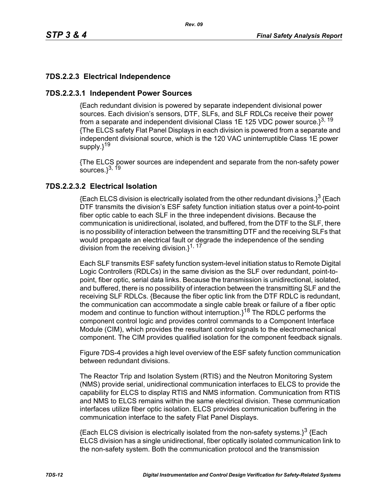# **7DS.2.2.3 Electrical Independence**

## **7DS.2.2.3.1 Independent Power Sources**

{Each redundant division is powered by separate independent divisional power sources. Each division's sensors, DTF, SLFs, and SLF RDLCs receive their power from a separate and independent divisional Class 1E 125 VDC power source. $3^{3, 19}$ {The ELCS safety Flat Panel Displays in each division is powered from a separate and independent divisional source, which is the 120 VAC uninterruptible Class 1E power supply.}<sup>19</sup>

{The ELCS power sources are independent and separate from the non-safety power sources. $3^{3, 19}$ 

# **7DS.2.2.3.2 Electrical Isolation**

{Each ELCS division is electrically isolated from the other redundant divisions.}<sup>3</sup> {Each DTF transmits the division's ESF safety function initiation status over a point-to-point fiber optic cable to each SLF in the three independent divisions. Because the communication is unidirectional, isolated, and buffered, from the DTF to the SLF, there is no possibility of interaction between the transmitting DTF and the receiving SLFs that would propagate an electrical fault or degrade the independence of the sending division from the receiving division.}<sup>1, 17</sup>

Each SLF transmits ESF safety function system-level initiation status to Remote Digital Logic Controllers (RDLCs) in the same division as the SLF over redundant, point-topoint, fiber optic, serial data links. Because the transmission is unidirectional, isolated, and buffered, there is no possibility of interaction between the transmitting SLF and the receiving SLF RDLCs. {Because the fiber optic link from the DTF RDLC is redundant, the communication can accommodate a single cable break or failure of a fiber optic modem and continue to function without interruption. $3^{18}$  The RDLC performs the component control logic and provides control commands to a Component Interface Module (CIM), which provides the resultant control signals to the electromechanical component. The CIM provides qualified isolation for the component feedback signals.

Figure 7DS-4 provides a high level overview of the ESF safety function communication between redundant divisions.

The Reactor Trip and Isolation System (RTIS) and the Neutron Monitoring System (NMS) provide serial, unidirectional communication interfaces to ELCS to provide the capability for ELCS to display RTIS and NMS information. Communication from RTIS and NMS to ELCS remains within the same electrical division. These communication interfaces utilize fiber optic isolation. ELCS provides communication buffering in the communication interface to the safety Flat Panel Displays.

 ${Each ELCS}$  division is electrically isolated from the non-safety systems. $3^3$  {Each ELCS division has a single unidirectional, fiber optically isolated communication link to the non-safety system. Both the communication protocol and the transmission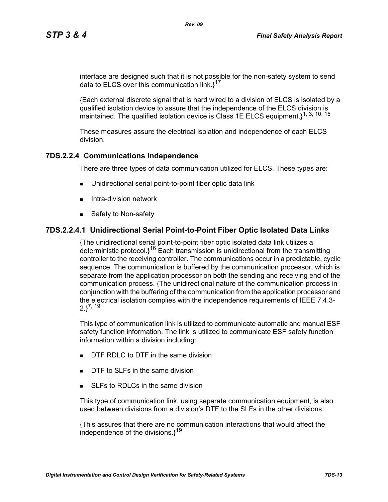interface are designed such that it is not possible for the non-safety system to send data to ELCS over this communication link. $1^{17}$ 

{Each external discrete signal that is hard wired to a division of ELCS is isolated by a qualified isolation device to assure that the independence of the ELCS division is maintained. The qualified isolation device is Class 1E ELCS equipment.}<sup>1, 3, 10, 15</sup>

These measures assure the electrical isolation and independence of each ELCS division.

# **7DS.2.2.4 Communications Independence**

There are three types of data communication utilized for ELCS. These types are:

- Unidirectional serial point-to-point fiber optic data link
- $\blacksquare$  Intra-division network
- Safety to Non-safety

## **7DS.2.2.4.1 Unidirectional Serial Point-to-Point Fiber Optic Isolated Data Links**

{The unidirectional serial point-to-point fiber optic isolated data link utilizes a deterministic protocol. $i^{16}$  Each transmission is unidirectional from the transmitting controller to the receiving controller. The communications occur in a predictable, cyclic sequence. The communication is buffered by the communication processor, which is separate from the application processor on both the sending and receiving end of the communication process. {The unidirectional nature of the communication process in conjunction with the buffering of the communication from the application processor and the electrical isolation complies with the independence requirements of IEEE 7.4.3-  $2.3^{7, 19}$ 

This type of communication link is utilized to communicate automatic and manual ESF safety function information. The link is utilized to communicate ESF safety function information within a division including:

- **DTF RDLC to DTF in the same division**
- DTF to SLFs in the same division
- SLEs to RDLCs in the same division

This type of communication link, using separate communication equipment, is also used between divisions from a division's DTF to the SLFs in the other divisions.

{This assures that there are no communication interactions that would affect the independence of the divisions. $1^{19}$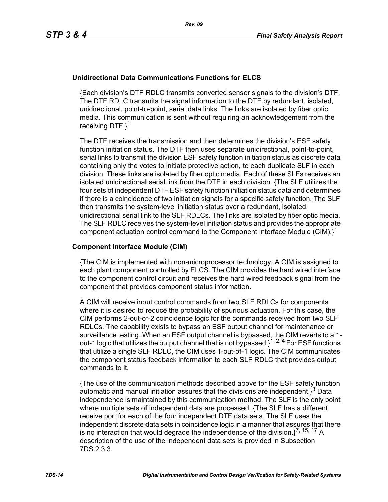### **Unidirectional Data Communications Functions for ELCS**

{Each division's DTF RDLC transmits converted sensor signals to the division's DTF. The DTF RDLC transmits the signal information to the DTF by redundant, isolated, unidirectional, point-to-point, serial data links. The links are isolated by fiber optic media. This communication is sent without requiring an acknowledgement from the receiving DTF.}<sup>1</sup>

The DTF receives the transmission and then determines the division's ESF safety function initiation status. The DTF then uses separate unidirectional, point-to-point, serial links to transmit the division ESF safety function initiation status as discrete data containing only the votes to initiate protective action, to each duplicate SLF in each division. These links are isolated by fiber optic media. Each of these SLFs receives an isolated unidirectional serial link from the DTF in each division. {The SLF utilizes the four sets of independent DTF ESF safety function initiation status data and determines if there is a coincidence of two initiation signals for a specific safety function. The SLF then transmits the system-level initiation status over a redundant, isolated, unidirectional serial link to the SLF RDLCs. The links are isolated by fiber optic media. The SLF RDLC receives the system-level initiation status and provides the appropriate component actuation control command to the Component Interface Module (CIM). $i^1$ 

#### **Component Interface Module (CIM)**

{The CIM is implemented with non-microprocessor technology. A CIM is assigned to each plant component controlled by ELCS. The CIM provides the hard wired interface to the component control circuit and receives the hard wired feedback signal from the component that provides component status information.

A CIM will receive input control commands from two SLF RDLCs for components where it is desired to reduce the probability of spurious actuation. For this case, the CIM performs 2-out-of-2 coincidence logic for the commands received from two SLF RDLCs. The capability exists to bypass an ESF output channel for maintenance or surveillance testing. When an ESF output channel is bypassed, the CIM reverts to a 1 out-1 logic that utilizes the output channel that is not bypassed.}1, 2, 4 For ESF functions that utilize a single SLF RDLC, the CIM uses 1-out-of-1 logic. The CIM communicates the component status feedback information to each SLF RDLC that provides output commands to it.

{The use of the communication methods described above for the ESF safety function automatic and manual initiation assures that the divisions are independent. $i^3$  Data independence is maintained by this communication method. The SLF is the only point where multiple sets of independent data are processed. {The SLF has a different receive port for each of the four independent DTF data sets. The SLF uses the independent discrete data sets in coincidence logic in a manner that assures that there is no interaction that would degrade the independence of the division. $1^{7, 15, 17}$  A description of the use of the independent data sets is provided in Subsection 7DS.2.3.3.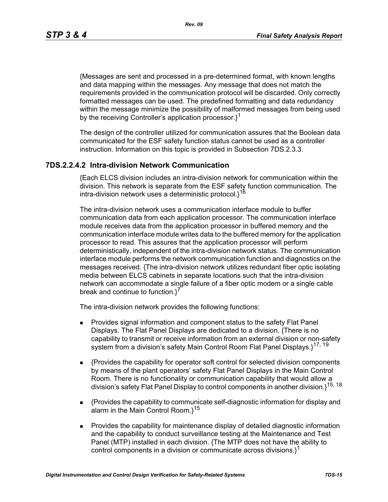*Rev. 09*

{Messages are sent and processed in a pre-determined format, with known lengths and data mapping within the messages. Any message that does not match the requirements provided in the communication protocol will be discarded. Only correctly formatted messages can be used. The predefined formatting and data redundancy within the message minimize the possibility of malformed messages from being used by the receiving Controller's application processor.<sup>1</sup>

The design of the controller utilized for communication assures that the Boolean data communicated for the ESF safety function status cannot be used as a controller instruction. Information on this topic is provided in Subsection 7DS.2.3.3.

## **7DS.2.2.4.2 Intra-division Network Communication**

{Each ELCS division includes an intra-division network for communication within the division. This network is separate from the ESF safety function communication. The intra-division network uses a deterministic protocol.}<sup>16</sup>

The intra-division network uses a communication interface module to buffer communication data from each application processor. The communication interface module receives data from the application processor in buffered memory and the communication interface module writes data to the buffered memory for the application processor to read. This assures that the application processor will perform deterministically, independent of the intra-division network status. The communication interface module performs the network communication function and diagnostics on the messages received. {The intra-division network utilizes redundant fiber optic isolating media between ELCS cabinets in separate locations such that the intra-division network can accommodate a single failure of a fiber optic modem or a single cable break and continue to function.<sup>7</sup>

The intra-division network provides the following functions:

- **Provides signal information and component status to the safety Flat Panel** Displays. The Flat Panel Displays are dedicated to a division. {There is no capability to transmit or receive information from an external division or non-safety system from a division's safety Main Control Room Flat Panel Displays.}<sup>17, 19</sup>
- {Provides the capability for operator soft control for selected division components by means of the plant operators' safety Flat Panel Displays in the Main Control Room. There is no functionality or communication capability that would allow a division's safety Flat Panel Display to control components in another division.}15, 18
- {Provides the capability to communicate self-diagnostic information for display and alarm in the Main Control Room. $1^{15}$
- **Provides the capability for maintenance display of detailed diagnostic information** and the capability to conduct surveillance testing at the Maintenance and Test Panel (MTP) installed in each division. {The MTP does not have the ability to control components in a division or communicate across divisions. $l^1$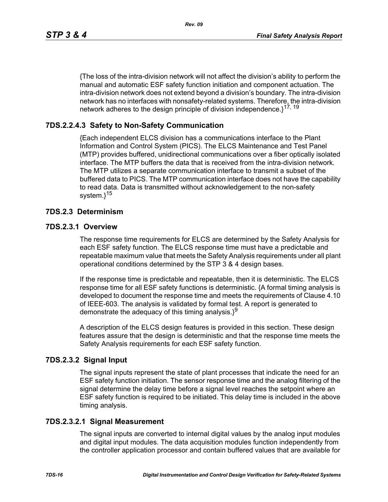*Rev. 09*

{The loss of the intra-division network will not affect the division's ability to perform the manual and automatic ESF safety function initiation and component actuation. The intra-division network does not extend beyond a division's boundary. The intra-division network has no interfaces with nonsafety-related systems. Therefore, the intra-division network adheres to the design principle of division independence.<sup>17, 19</sup>

# **7DS.2.2.4.3 Safety to Non-Safety Communication**

{Each independent ELCS division has a communications interface to the Plant Information and Control System (PICS). The ELCS Maintenance and Test Panel (MTP) provides buffered, unidirectional communications over a fiber optically isolated interface. The MTP buffers the data that is received from the intra-division network. The MTP utilizes a separate communication interface to transmit a subset of the buffered data to PICS. The MTP communication interface does not have the capability to read data. Data is transmitted without acknowledgement to the non-safety system.}<sup>15</sup>

## **7DS.2.3 Determinism**

## **7DS.2.3.1 Overview**

The response time requirements for ELCS are determined by the Safety Analysis for each ESF safety function. The ELCS response time must have a predictable and repeatable maximum value that meets the Safety Analysis requirements under all plant operational conditions determined by the STP 3 & 4 design bases.

If the response time is predictable and repeatable, then it is deterministic. The ELCS response time for all ESF safety functions is deterministic. {A formal timing analysis is developed to document the response time and meets the requirements of Clause 4.10 of IEEE-603. The analysis is validated by formal test. A report is generated to demonstrate the adequacy of this timing analysis. $3^9$ 

A description of the ELCS design features is provided in this section. These design features assure that the design is deterministic and that the response time meets the Safety Analysis requirements for each ESF safety function.

# **7DS.2.3.2 Signal Input**

The signal inputs represent the state of plant processes that indicate the need for an ESF safety function initiation. The sensor response time and the analog filtering of the signal determine the delay time before a signal level reaches the setpoint where an ESF safety function is required to be initiated. This delay time is included in the above timing analysis.

### **7DS.2.3.2.1 Signal Measurement**

The signal inputs are converted to internal digital values by the analog input modules and digital input modules. The data acquisition modules function independently from the controller application processor and contain buffered values that are available for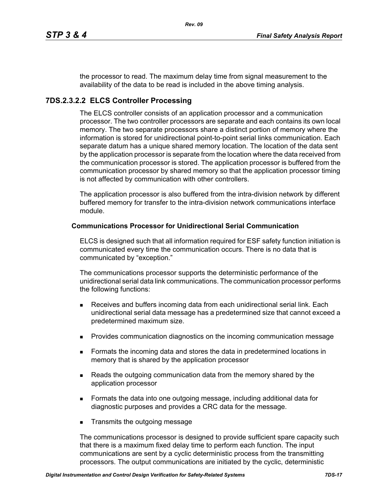the processor to read. The maximum delay time from signal measurement to the availability of the data to be read is included in the above timing analysis.

# **7DS.2.3.2.2 ELCS Controller Processing**

The ELCS controller consists of an application processor and a communication processor. The two controller processors are separate and each contains its own local memory. The two separate processors share a distinct portion of memory where the information is stored for unidirectional point-to-point serial links communication. Each separate datum has a unique shared memory location. The location of the data sent by the application processor is separate from the location where the data received from the communication processor is stored. The application processor is buffered from the communication processor by shared memory so that the application processor timing is not affected by communication with other controllers.

The application processor is also buffered from the intra-division network by different buffered memory for transfer to the intra-division network communications interface module.

#### **Communications Processor for Unidirectional Serial Communication**

ELCS is designed such that all information required for ESF safety function initiation is communicated every time the communication occurs. There is no data that is communicated by "exception."

The communications processor supports the deterministic performance of the unidirectional serial data link communications. The communication processor performs the following functions:

- Receives and buffers incoming data from each unidirectional serial link. Each unidirectional serial data message has a predetermined size that cannot exceed a predetermined maximum size.
- **Provides communication diagnostics on the incoming communication message**
- **Formats the incoming data and stores the data in predetermined locations in** memory that is shared by the application processor
- **Reads the outgoing communication data from the memory shared by the** application processor
- Formats the data into one outgoing message, including additional data for diagnostic purposes and provides a CRC data for the message.
- **Transmits the outgoing message**

The communications processor is designed to provide sufficient spare capacity such that there is a maximum fixed delay time to perform each function. The input communications are sent by a cyclic deterministic process from the transmitting processors. The output communications are initiated by the cyclic, deterministic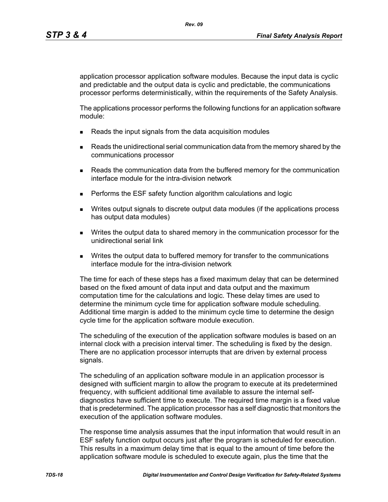application processor application software modules. Because the input data is cyclic and predictable and the output data is cyclic and predictable, the communications processor performs deterministically, within the requirements of the Safety Analysis.

The applications processor performs the following functions for an application software module:

- Reads the input signals from the data acquisition modules
- **Reads the unidirectional serial communication data from the memory shared by the** communications processor
- **Reads the communication data from the buffered memory for the communication** interface module for the intra-division network
- **Performs the ESF safety function algorithm calculations and logic**
- Writes output signals to discrete output data modules (if the applications process has output data modules)
- Writes the output data to shared memory in the communication processor for the unidirectional serial link
- **Writes the output data to buffered memory for transfer to the communications** interface module for the intra-division network

The time for each of these steps has a fixed maximum delay that can be determined based on the fixed amount of data input and data output and the maximum computation time for the calculations and logic. These delay times are used to determine the minimum cycle time for application software module scheduling. Additional time margin is added to the minimum cycle time to determine the design cycle time for the application software module execution.

The scheduling of the execution of the application software modules is based on an internal clock with a precision interval timer. The scheduling is fixed by the design. There are no application processor interrupts that are driven by external process signals.

The scheduling of an application software module in an application processor is designed with sufficient margin to allow the program to execute at its predetermined frequency, with sufficient additional time available to assure the internal selfdiagnostics have sufficient time to execute. The required time margin is a fixed value that is predetermined. The application processor has a self diagnostic that monitors the execution of the application software modules.

The response time analysis assumes that the input information that would result in an ESF safety function output occurs just after the program is scheduled for execution. This results in a maximum delay time that is equal to the amount of time before the application software module is scheduled to execute again, plus the time that the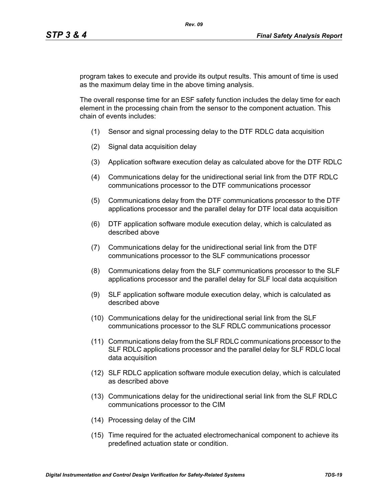program takes to execute and provide its output results. This amount of time is used as the maximum delay time in the above timing analysis.

The overall response time for an ESF safety function includes the delay time for each element in the processing chain from the sensor to the component actuation. This chain of events includes:

- (1) Sensor and signal processing delay to the DTF RDLC data acquisition
- (2) Signal data acquisition delay
- (3) Application software execution delay as calculated above for the DTF RDLC
- (4) Communications delay for the unidirectional serial link from the DTF RDLC communications processor to the DTF communications processor
- (5) Communications delay from the DTF communications processor to the DTF applications processor and the parallel delay for DTF local data acquisition
- (6) DTF application software module execution delay, which is calculated as described above
- (7) Communications delay for the unidirectional serial link from the DTF communications processor to the SLF communications processor
- (8) Communications delay from the SLF communications processor to the SLF applications processor and the parallel delay for SLF local data acquisition
- (9) SLF application software module execution delay, which is calculated as described above
- (10) Communications delay for the unidirectional serial link from the SLF communications processor to the SLF RDLC communications processor
- (11) Communications delay from the SLF RDLC communications processor to the SLF RDLC applications processor and the parallel delay for SLF RDLC local data acquisition
- (12) SLF RDLC application software module execution delay, which is calculated as described above
- (13) Communications delay for the unidirectional serial link from the SLF RDLC communications processor to the CIM
- (14) Processing delay of the CIM
- (15) Time required for the actuated electromechanical component to achieve its predefined actuation state or condition.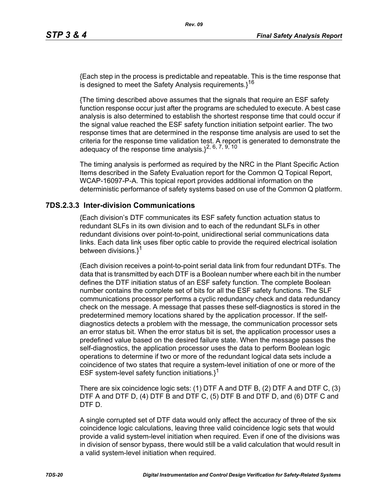{Each step in the process is predictable and repeatable. This is the time response that is designed to meet the Safety Analysis requirements. $3^{16}$ 

{The timing described above assumes that the signals that require an ESF safety function response occur just after the programs are scheduled to execute. A best case analysis is also determined to establish the shortest response time that could occur if the signal value reached the ESF safety function initiation setpoint earlier. The two response times that are determined in the response time analysis are used to set the criteria for the response time validation test. A report is generated to demonstrate the adequacy of the response time analysis. $1^{2, 6, 7, 9, 10}$ 

The timing analysis is performed as required by the NRC in the Plant Specific Action Items described in the Safety Evaluation report for the Common Q Topical Report, WCAP-16097-P-A. This topical report provides additional information on the deterministic performance of safety systems based on use of the Common Q platform.

### **7DS.2.3.3 Inter-division Communications**

{Each division's DTF communicates its ESF safety function actuation status to redundant SLFs in its own division and to each of the redundant SLFs in other redundant divisions over point-to-point, unidirectional serial communications data links. Each data link uses fiber optic cable to provide the required electrical isolation between divisions.}<sup>1</sup>

{Each division receives a point-to-point serial data link from four redundant DTFs. The data that is transmitted by each DTF is a Boolean number where each bit in the number defines the DTF initiation status of an ESF safety function. The complete Boolean number contains the complete set of bits for all the ESF safety functions. The SLF communications processor performs a cyclic redundancy check and data redundancy check on the message. A message that passes these self-diagnostics is stored in the predetermined memory locations shared by the application processor. If the selfdiagnostics detects a problem with the message, the communication processor sets an error status bit. When the error status bit is set, the application processor uses a predefined value based on the desired failure state. When the message passes the self-diagnostics, the application processor uses the data to perform Boolean logic operations to determine if two or more of the redundant logical data sets include a coincidence of two states that require a system-level initiation of one or more of the ESF system-level safety function initiations. $1^1$ 

There are six coincidence logic sets: (1) DTF A and DTF B, (2) DTF A and DTF C, (3) DTF A and DTF D, (4) DTF B and DTF C, (5) DTF B and DTF D, and (6) DTF C and DTF D.

A single corrupted set of DTF data would only affect the accuracy of three of the six coincidence logic calculations, leaving three valid coincidence logic sets that would provide a valid system-level initiation when required. Even if one of the divisions was in division of sensor bypass, there would still be a valid calculation that would result in a valid system-level initiation when required.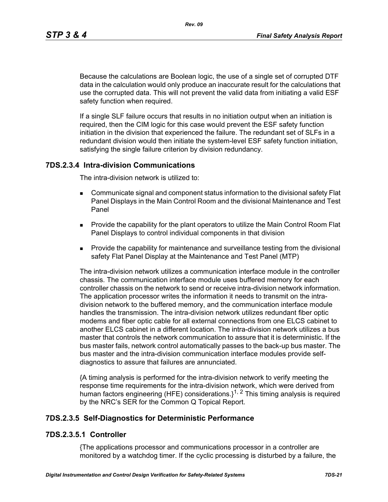*Rev. 09*

Because the calculations are Boolean logic, the use of a single set of corrupted DTF data in the calculation would only produce an inaccurate result for the calculations that use the corrupted data. This will not prevent the valid data from initiating a valid ESF safety function when required.

If a single SLF failure occurs that results in no initiation output when an initiation is required, then the CIM logic for this case would prevent the ESF safety function initiation in the division that experienced the failure. The redundant set of SLFs in a redundant division would then initiate the system-level ESF safety function initiation, satisfying the single failure criterion by division redundancy.

## **7DS.2.3.4 Intra-division Communications**

The intra-division network is utilized to:

- Communicate signal and component status information to the divisional safety Flat Panel Displays in the Main Control Room and the divisional Maintenance and Test Panel
- **Provide the capability for the plant operators to utilize the Main Control Room Flat** Panel Displays to control individual components in that division
- **Provide the capability for maintenance and surveillance testing from the divisional** safety Flat Panel Display at the Maintenance and Test Panel (MTP)

The intra-division network utilizes a communication interface module in the controller chassis. The communication interface module uses buffered memory for each controller chassis on the network to send or receive intra-division network information. The application processor writes the information it needs to transmit on the intradivision network to the buffered memory, and the communication interface module handles the transmission. The intra-division network utilizes redundant fiber optic modems and fiber optic cable for all external connections from one ELCS cabinet to another ELCS cabinet in a different location. The intra-division network utilizes a bus master that controls the network communication to assure that it is deterministic. If the bus master fails, network control automatically passes to the back-up bus master. The bus master and the intra-division communication interface modules provide selfdiagnostics to assure that failures are annunciated.

{A timing analysis is performed for the intra-division network to verify meeting the response time requirements for the intra-division network, which were derived from human factors engineering (HFE) considerations. $1^{1, 2}$  This timing analysis is required by the NRC's SER for the Common Q Topical Report.

### **7DS.2.3.5 Self-Diagnostics for Deterministic Performance**

### **7DS.2.3.5.1 Controller**

{The applications processor and communications processor in a controller are monitored by a watchdog timer. If the cyclic processing is disturbed by a failure, the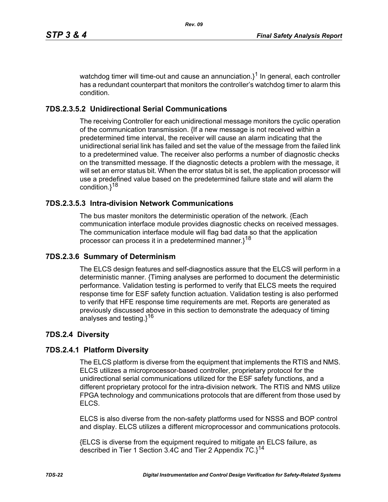watchdog timer will time-out and cause an annunciation. $3^1$  In general, each controller has a redundant counterpart that monitors the controller's watchdog timer to alarm this condition.

# **7DS.2.3.5.2 Unidirectional Serial Communications**

The receiving Controller for each unidirectional message monitors the cyclic operation of the communication transmission. {If a new message is not received within a predetermined time interval, the receiver will cause an alarm indicating that the unidirectional serial link has failed and set the value of the message from the failed link to a predetermined value. The receiver also performs a number of diagnostic checks on the transmitted message. If the diagnostic detects a problem with the message, it will set an error status bit. When the error status bit is set, the application processor will use a predefined value based on the predetermined failure state and will alarm the condition.}<sup>18</sup>

# **7DS.2.3.5.3 Intra-division Network Communications**

The bus master monitors the deterministic operation of the network. {Each communication interface module provides diagnostic checks on received messages. The communication interface module will flag bad data so that the application processor can process it in a predetermined manner.}<sup>18</sup>

### **7DS.2.3.6 Summary of Determinism**

The ELCS design features and self-diagnostics assure that the ELCS will perform in a deterministic manner. {Timing analyses are performed to document the deterministic performance. Validation testing is performed to verify that ELCS meets the required response time for ESF safety function actuation. Validation testing is also performed to verify that HFE response time requirements are met. Reports are generated as previously discussed above in this section to demonstrate the adequacy of timing analyses and testing.}<sup>16</sup>

# **7DS.2.4 Diversity**

# **7DS.2.4.1 Platform Diversity**

The ELCS platform is diverse from the equipment that implements the RTIS and NMS. ELCS utilizes a microprocessor-based controller, proprietary protocol for the unidirectional serial communications utilized for the ESF safety functions, and a different proprietary protocol for the intra-division network. The RTIS and NMS utilize FPGA technology and communications protocols that are different from those used by ELCS.

ELCS is also diverse from the non-safety platforms used for NSSS and BOP control and display. ELCS utilizes a different microprocessor and communications protocols.

{ELCS is diverse from the equipment required to mitigate an ELCS failure, as described in Tier 1 Section 3.4C and Tier 2 Appendix  $7C$ . $3^{14}$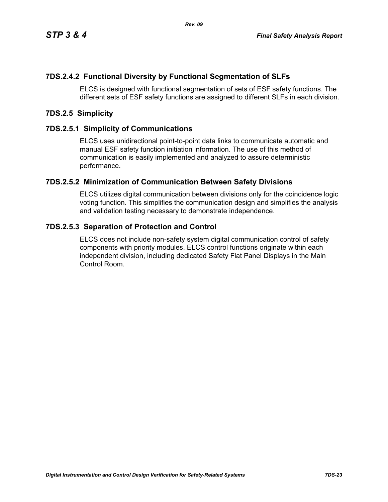# **7DS.2.4.2 Functional Diversity by Functional Segmentation of SLFs**

ELCS is designed with functional segmentation of sets of ESF safety functions. The different sets of ESF safety functions are assigned to different SLFs in each division.

## **7DS.2.5 Simplicity**

## **7DS.2.5.1 Simplicity of Communications**

ELCS uses unidirectional point-to-point data links to communicate automatic and manual ESF safety function initiation information. The use of this method of communication is easily implemented and analyzed to assure deterministic performance.

## **7DS.2.5.2 Minimization of Communication Between Safety Divisions**

ELCS utilizes digital communication between divisions only for the coincidence logic voting function. This simplifies the communication design and simplifies the analysis and validation testing necessary to demonstrate independence.

## **7DS.2.5.3 Separation of Protection and Control**

ELCS does not include non-safety system digital communication control of safety components with priority modules. ELCS control functions originate within each independent division, including dedicated Safety Flat Panel Displays in the Main Control Room.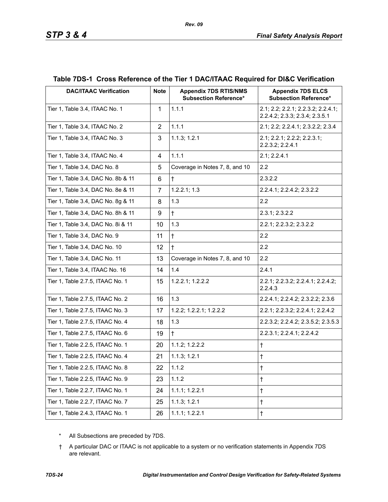| <b>DAC/ITAAC Verification</b>      | <b>Note</b>    | <b>Appendix 7DS RTIS/NMS</b><br><b>Subsection Reference*</b> | <b>Appendix 7DS ELCS</b><br><b>Subsection Reference*</b>             |
|------------------------------------|----------------|--------------------------------------------------------------|----------------------------------------------------------------------|
| Tier 1, Table 3.4, ITAAC No. 1     | $\mathbf{1}$   | 1.1.1                                                        | 2.1; 2.2; 2.2.1; 2.2.3.2; 2.2.4.1;<br>2.2.4.2; 2.3.3; 2.3.4; 2.3.5.1 |
| Tier 1, Table 3.4, ITAAC No. 2     | $\overline{2}$ | 1.1.1                                                        | 2.1; 2.2; 2.2.4.1; 2.3.2.2; 2.3.4                                    |
| Tier 1, Table 3.4, ITAAC No. 3     | 3              | 1.1.3; 1.2.1                                                 | 2.1; 2.2.1; 2.2.2; 2.2.3.1;<br>2.2.3.2; 2.2.4.1                      |
| Tier 1, Table 3.4, ITAAC No. 4     | $\overline{4}$ | 1.1.1                                                        | 2.1; 2.2.4.1                                                         |
| Tier 1, Table 3.4, DAC No. 8       | 5              | Coverage in Notes 7, 8, and 10                               | 2.2                                                                  |
| Tier 1, Table 3.4, DAC No. 8b & 11 | 6              | $\ddagger$                                                   | 2.3.2.2                                                              |
| Tier 1, Table 3.4, DAC No. 8e & 11 | $\overline{7}$ | 1.2.2.1; 1.3                                                 | 2.2.4.1; 2.2.4.2; 2.3.2.2                                            |
| Tier 1, Table 3.4, DAC No. 8g & 11 | 8              | 1.3                                                          | 2.2                                                                  |
| Tier 1, Table 3.4, DAC No. 8h & 11 | 9              | $\ddagger$                                                   | 2.3.1; 2.3.2.2                                                       |
| Tier 1, Table 3.4, DAC No. 8i & 11 | 10             | 1.3                                                          | 2.2.1; 2.2.3.2; 2.3.2.2                                              |
| Tier 1, Table 3.4, DAC No. 9       | 11             | $\ddagger$                                                   | 2.2                                                                  |
| Tier 1, Table 3.4, DAC No. 10      | 12             | $\ddagger$                                                   | 2.2                                                                  |
| Tier 1, Table 3.4, DAC No. 11      | 13             | Coverage in Notes 7, 8, and 10                               | 2.2                                                                  |
| Tier 1, Table 3.4, ITAAC No. 16    | 14             | 1.4                                                          | 2.4.1                                                                |
| Tier 1, Table 2.7.5, ITAAC No. 1   | 15             | 1.2.2.1; 1.2.2.2                                             | 2.2.1; 2.2.3.2; 2.2.4.1; 2.2.4.2;<br>2.2.4.3                         |
| Tier 1, Table 2.7.5, ITAAC No. 2   | 16             | 1.3                                                          | 2.2.4.1; 2.2.4.2; 2.3.2.2; 2.3.6                                     |
| Tier 1, Table 2.7.5, ITAAC No. 3   | 17             | 1.2.2; 1.2.2.1; 1.2.2.2                                      | 2.2.1; 2.2.3.2; 2.2.4.1; 2.2.4.2                                     |
| Tier 1, Table 2.7.5, ITAAC No. 4   | 18             | 1.3                                                          | 2.2.3.2; 2.2.4.2; 2.3.5.2; 2.3.5.3                                   |
| Tier 1, Table 2.7.5, ITAAC No. 6   | 19             | $\ddagger$                                                   | 2.2.3.1; 2.2.4.1; 2.2.4.2                                            |
| Tier 1, Table 2.2.5, ITAAC No. 1   | 20             | 1.1.2; 1.2.2.2                                               | $\ddagger$                                                           |
| Tier 1, Table 2.2.5, ITAAC No. 4   | 21             | 1.1.3; 1.2.1                                                 | $\dagger$                                                            |
| Tier 1, Table 2.2.5, ITAAC No. 8   | 22             | 1.1.2                                                        | $\ddagger$                                                           |
| Tier 1, Table 2.2.5, ITAAC No. 9   | 23             | 1.1.2                                                        | $\ddagger$                                                           |
| Tier 1, Table 2.2.7, ITAAC No. 1   | 24             | 1.1.1; 1.2.2.1                                               | $\ddagger$                                                           |
| Tier 1, Table 2.2.7, ITAAC No. 7   | 25             | 1.1.3; 1.2.1                                                 | $\ddagger$                                                           |
| Tier 1, Table 2.4.3, ITAAC No. 1   | 26             | 1.1.1; 1.2.2.1                                               | $\ddagger$                                                           |

# **Table 7DS-1 Cross Reference of the Tier 1 DAC/ITAAC Required for DI&C Verification**

*Rev. 09*

\* All Subsections are preceded by 7DS.

† A particular DAC or ITAAC is not applicable to a system or no verification statements in Appendix 7DS are relevant.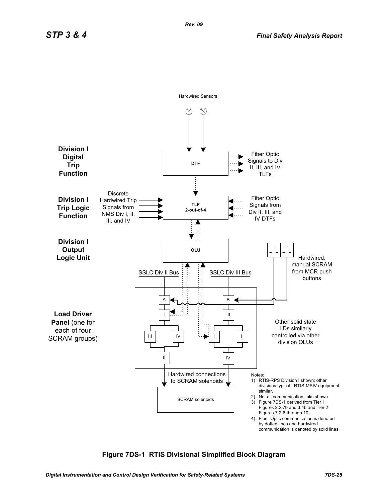

### **Figure 7DS-1 RTIS Divisional Simplified Block Diagram**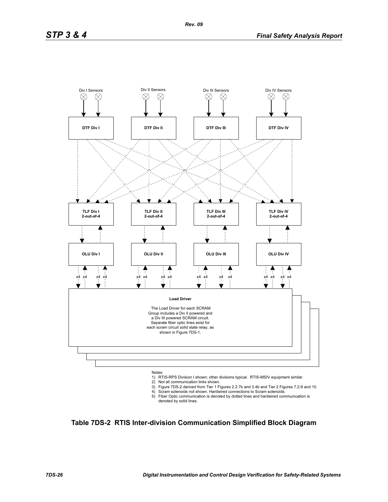

- 2) Not all communication links shown.
- 
- 3) Figure 7DS-2 derived from Tier 1 Figures 2.2.7b and 3.4b and Tier 2 Figures 7.2-9 and 10. 4) Scram solenoids not shown. Hardwired connections to Scram solenoids.
- 5) Fiber Optic communication is denoted by dotted lines and hardwired communication is denoted by solid lines.

**Table 7DS-2 RTIS Inter-division Communication Simplified Block Diagram**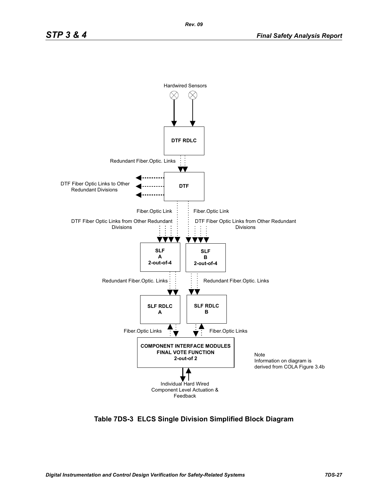

**Table 7DS-3 ELCS Single Division Simplified Block Diagram**